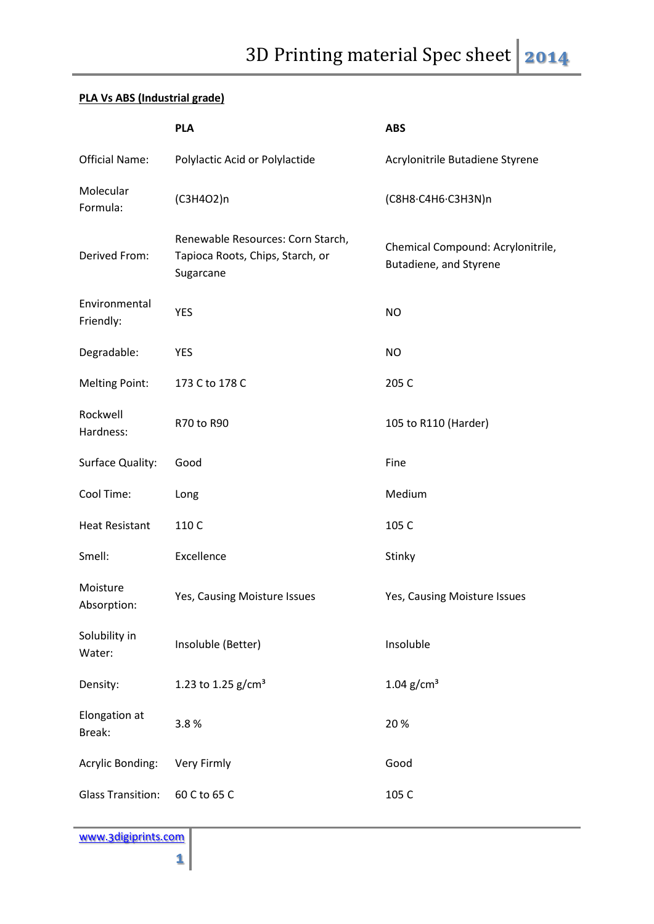## **PLA Vs ABS (Industrial grade)**

|                            | <b>PLA</b>                                                                         | <b>ABS</b>                                                  |
|----------------------------|------------------------------------------------------------------------------------|-------------------------------------------------------------|
| <b>Official Name:</b>      | Polylactic Acid or Polylactide                                                     | Acrylonitrile Butadiene Styrene                             |
| Molecular<br>Formula:      | (C3H4O2)n                                                                          | (C8H8·C4H6·C3H3N)n                                          |
| Derived From:              | Renewable Resources: Corn Starch,<br>Tapioca Roots, Chips, Starch, or<br>Sugarcane | Chemical Compound: Acrylonitrile,<br>Butadiene, and Styrene |
| Environmental<br>Friendly: | <b>YES</b>                                                                         | <b>NO</b>                                                   |
| Degradable:                | <b>YES</b>                                                                         | <b>NO</b>                                                   |
| <b>Melting Point:</b>      | 173 C to 178 C                                                                     | 205 C                                                       |
| Rockwell<br>Hardness:      | R70 to R90                                                                         | 105 to R110 (Harder)                                        |
| Surface Quality:           | Good                                                                               | Fine                                                        |
| Cool Time:                 | Long                                                                               | Medium                                                      |
| <b>Heat Resistant</b>      | 110 C                                                                              | 105 C                                                       |
| Smell:                     | Excellence                                                                         | Stinky                                                      |
| Moisture<br>Absorption:    | Yes, Causing Moisture Issues                                                       | Yes, Causing Moisture Issues                                |
| Solubility in<br>Water:    | Insoluble (Better)                                                                 | Insoluble                                                   |
| Density:                   | 1.23 to 1.25 $g/cm3$                                                               | $1.04$ g/cm <sup>3</sup>                                    |
| Elongation at<br>Break:    | 3.8%                                                                               | 20%                                                         |
| <b>Acrylic Bonding:</b>    | Very Firmly                                                                        | Good                                                        |
| <b>Glass Transition:</b>   | 60 C to 65 C                                                                       | 105 C                                                       |

www.3digiprints.com